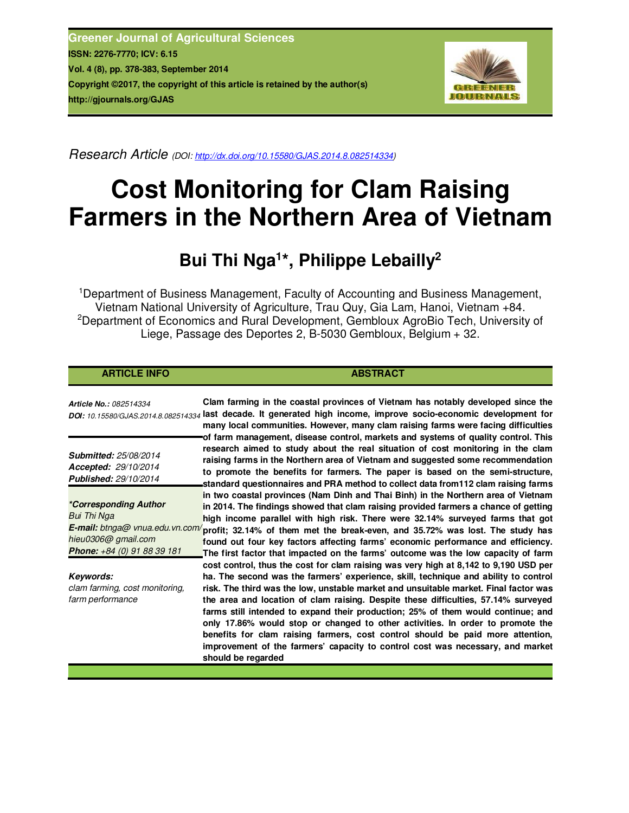**Greener Journal of Agricultural Sciences ISSN: 2276-7770; ICV: 6.15 Vol. 4 (8), pp. 378-383, September 2014 Copyright ©2017, the copyright of this article is retained by the author(s) http://gjournals.org/GJAS**



*Research Article (DOI: http://dx.doi.org/10.15580/GJAS.2014.8.082514334)*

# **Cost Monitoring for Clam Raising Farmers in the Northern Area of Vietnam**

## **Bui Thi Nga<sup>1</sup> \*, Philippe Lebailly<sup>2</sup>**

<sup>1</sup> Department of Business Management, Faculty of Accounting and Business Management, Vietnam National University of Agriculture, Trau Quy, Gia Lam, Hanoi, Vietnam +84. <sup>2</sup>Department of Economics and Rural Development, Gembloux AgroBio Tech, University of Liege, Passage des Deportes 2, B-5030 Gembloux, Belgium + 32.

### **ARTICLE INFO ABSTRACT ABSTRACT**

*Article No.: 082514334 DOI: 10.15580/GJAS.2014.8.082514334* **last decade. It generated high income, improve socio-economic development for Clam farming in the coastal provinces of Vietnam has notably developed since the many local communities. However, many clam raising farms were facing difficulties of farm management, disease control, markets and systems of quality control. This research aimed to study about the real situation of cost monitoring in the clam raising farms in the Northern area of Vietnam and suggested some recommendation to promote the benefits for farmers. The paper is based on the semi-structure, standard questionnaires and PRA method to collect data from112 clam raising farms in two coastal provinces (Nam Dinh and Thai Binh) in the Northern area of Vietnam in 2014. The findings showed that clam raising provided farmers a chance of getting high income parallel with high risk. There were 32.14% surveyed farms that got**  E-mail: btnga@ vnua.edu.vn.com/ profit; 32.14% of them met the break-even, and 35.72% was lost. The study has **found out four key factors affecting farms' economic performance and efficiency. The first factor that impacted on the farms' outcome was the low capacity of farm cost control, thus the cost for clam raising was very high at 8,142 to 9,190 USD per ha. The second was the farmers' experience, skill, technique and ability to control risk. The third was the low, unstable market and unsuitable market. Final factor was the area and location of clam raising. Despite these difficulties, 57.14% surveyed farms still intended to expand their production; 25% of them would continue; and only 17.86% would stop or changed to other activities. In order to promote the benefits for clam raising farmers, cost control should be paid more attention, improvement of the farmers' capacity to control cost was necessary, and market should be regarded** *Submitted: 25/08/2014 Accepted: 29/10/2014 Published: 29/10/2014 \*Corresponding Author Bui Thi Nga hieu0306@ gmail.com Phone: +84 (0) 91 88 39 181 Keywords: clam farming, cost monitoring, farm performance*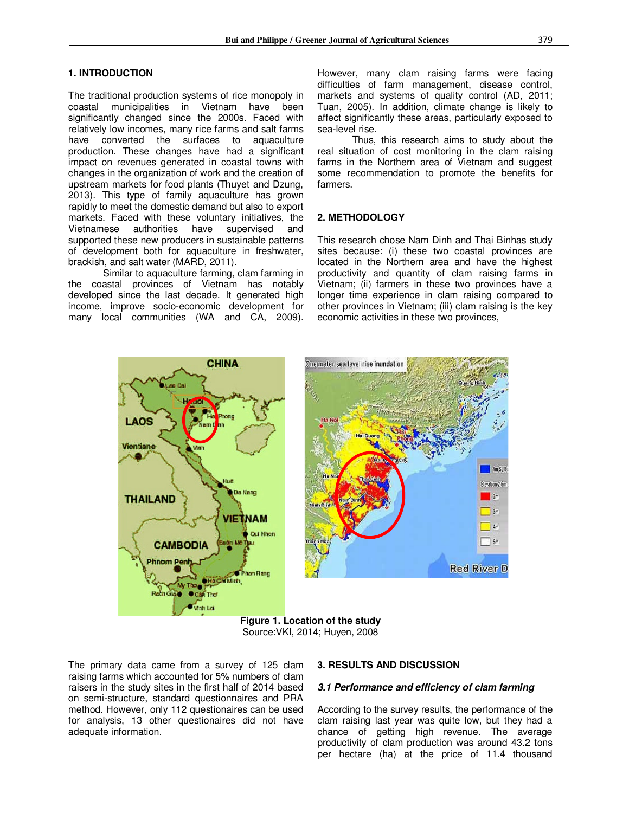#### **1. INTRODUCTION**

The traditional production systems of rice monopoly in coastal municipalities in Vietnam have been significantly changed since the 2000s. Faced with relatively low incomes, many rice farms and salt farms have converted the surfaces to aquaculture production. These changes have had a significant impact on revenues generated in coastal towns with changes in the organization of work and the creation of upstream markets for food plants (Thuyet and Dzung, 2013). This type of family aquaculture has grown rapidly to meet the domestic demand but also to export markets. Faced with these voluntary initiatives, the Vietnamese authorities have supervised and supported these new producers in sustainable patterns of development both for aquaculture in freshwater, brackish, and salt water (MARD, 2011).

Similar to aquaculture farming, clam farming in the coastal provinces of Vietnam has notably developed since the last decade. It generated high income, improve socio-economic development for many local communities (WA and CA, 2009).

However, many clam raising farms were facing difficulties of farm management, disease control, markets and systems of quality control (AD, 2011; Tuan, 2005). In addition, climate change is likely to affect significantly these areas, particularly exposed to sea-level rise.

Thus, this research aims to study about the real situation of cost monitoring in the clam raising farms in the Northern area of Vietnam and suggest some recommendation to promote the benefits for farmers.

#### **2. METHODOLOGY**

This research chose Nam Dinh and Thai Binhas study sites because: (i) these two coastal provinces are located in the Northern area and have the highest productivity and quantity of clam raising farms in Vietnam; (ii) farmers in these two provinces have a longer time experience in clam raising compared to other provinces in Vietnam; (iii) clam raising is the key economic activities in these two provinces,



**Figure 1. Location of the study**  Source:VKI, 2014; Huyen, 2008

The primary data came from a survey of 125 clam raising farms which accounted for 5% numbers of clam raisers in the study sites in the first half of 2014 based on semi-structure, standard questionnaires and PRA method. However, only 112 questionaires can be used for analysis, 13 other questionaires did not have adequate information.

#### **3. RESULTS AND DISCUSSION**

#### *3.1 Performance and efficiency of clam farming*

According to the survey results, the performance of the clam raising last year was quite low, but they had a chance of getting high revenue. The average productivity of clam production was around 43.2 tons per hectare (ha) at the price of 11.4 thousand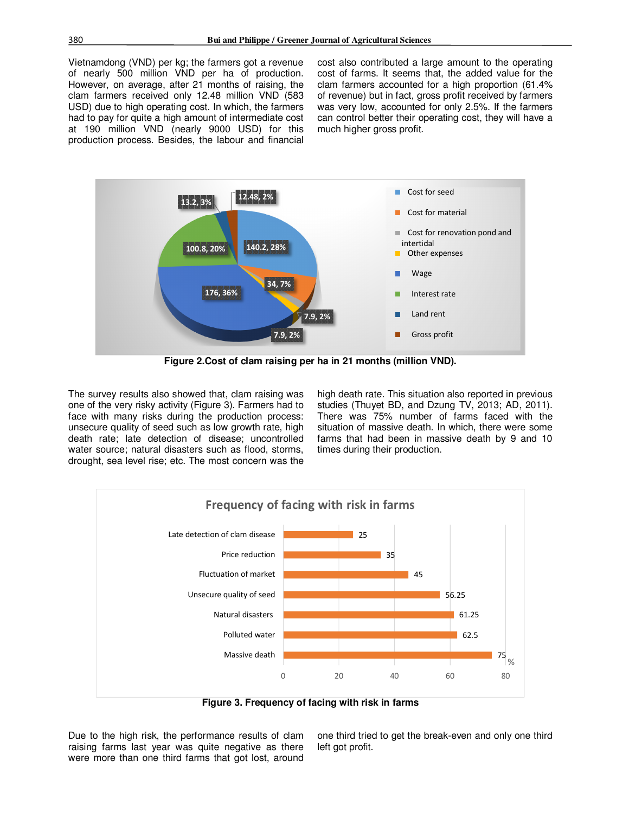Vietnamdong (VND) per kg; the farmers got a revenue of nearly 500 million VND per ha of production. However, on average, after 21 months of raising, the clam farmers received only 12.48 million VND (583 USD) due to high operating cost. In which, the farmers had to pay for quite a high amount of intermediate cost at 190 million VND (nearly 9000 USD) for this production process. Besides, the labour and financial cost also contributed a large amount to the operating cost of farms. It seems that, the added value for the clam farmers accounted for a high proportion (61.4% of revenue) but in fact, gross profit received by farmers was very low, accounted for only 2.5%. If the farmers can control better their operating cost, they will have a much higher gross profit.



**Figure 2.Cost of clam raising per ha in 21 months (million VND).** 

The survey results also showed that, clam raising was one of the very risky activity (Figure 3). Farmers had to face with many risks during the production process: unsecure quality of seed such as low growth rate, high death rate; late detection of disease; uncontrolled water source; natural disasters such as flood, storms, drought, sea level rise; etc. The most concern was the high death rate. This situation also reported in previous studies (Thuyet BD, and Dzung TV, 2013; AD, 2011). There was 75% number of farms faced with the situation of massive death. In which, there were some farms that had been in massive death by 9 and 10 times during their production.



**Figure 3. Frequency of facing with risk in farms** 

Due to the high risk, the performance results of clam raising farms last year was quite negative as there were more than one third farms that got lost, around

one third tried to get the break-even and only one third left got profit.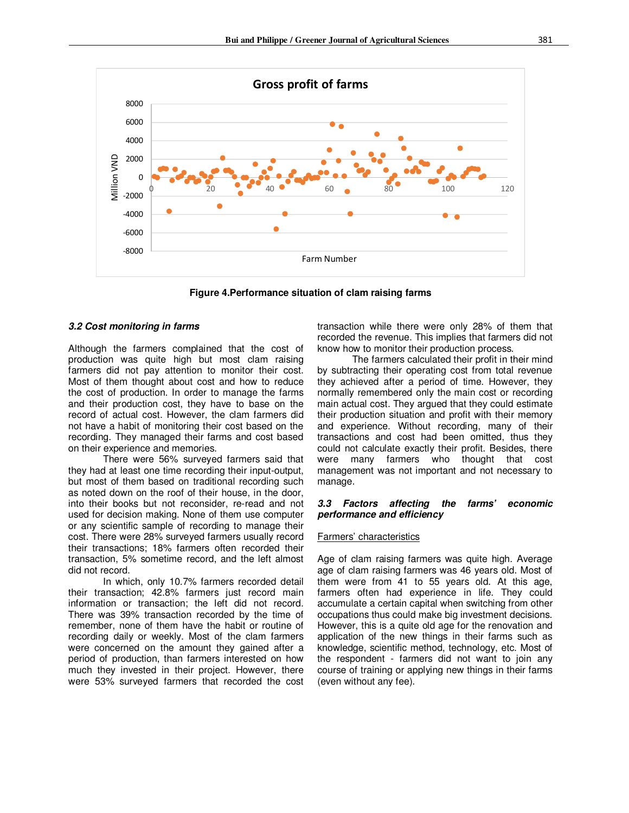

**Figure 4.Performance situation of clam raising farms** 

#### *3.2 Cost monitoring in farms*

Although the farmers complained that the cost of production was quite high but most clam raising farmers did not pay attention to monitor their cost. Most of them thought about cost and how to reduce the cost of production. In order to manage the farms and their production cost, they have to base on the record of actual cost. However, the clam farmers did not have a habit of monitoring their cost based on the recording. They managed their farms and cost based on their experience and memories.

There were 56% surveyed farmers said that they had at least one time recording their input-output, but most of them based on traditional recording such as noted down on the roof of their house, in the door, into their books but not reconsider, re-read and not used for decision making. None of them use computer or any scientific sample of recording to manage their cost. There were 28% surveyed farmers usually record their transactions; 18% farmers often recorded their transaction, 5% sometime record, and the left almost did not record.

In which, only 10.7% farmers recorded detail their transaction; 42.8% farmers just record main information or transaction; the left did not record. There was 39% transaction recorded by the time of remember, none of them have the habit or routine of recording daily or weekly. Most of the clam farmers were concerned on the amount they gained after a period of production, than farmers interested on how much they invested in their project. However, there were 53% surveyed farmers that recorded the cost transaction while there were only 28% of them that recorded the revenue. This implies that farmers did not know how to monitor their production process.

The farmers calculated their profit in their mind by subtracting their operating cost from total revenue they achieved after a period of time. However, they normally remembered only the main cost or recording main actual cost. They argued that they could estimate their production situation and profit with their memory and experience. Without recording, many of their transactions and cost had been omitted, thus they could not calculate exactly their profit. Besides, there were many farmers who thought that cost management was not important and not necessary to manage.

#### *3.3 Factors affecting the farms' economic performance and efficiency*

#### Farmers' characteristics

Age of clam raising farmers was quite high. Average age of clam raising farmers was 46 years old. Most of them were from 41 to 55 years old. At this age, farmers often had experience in life. They could accumulate a certain capital when switching from other occupations thus could make big investment decisions. However, this is a quite old age for the renovation and application of the new things in their farms such as knowledge, scientific method, technology, etc. Most of the respondent - farmers did not want to join any course of training or applying new things in their farms (even without any fee).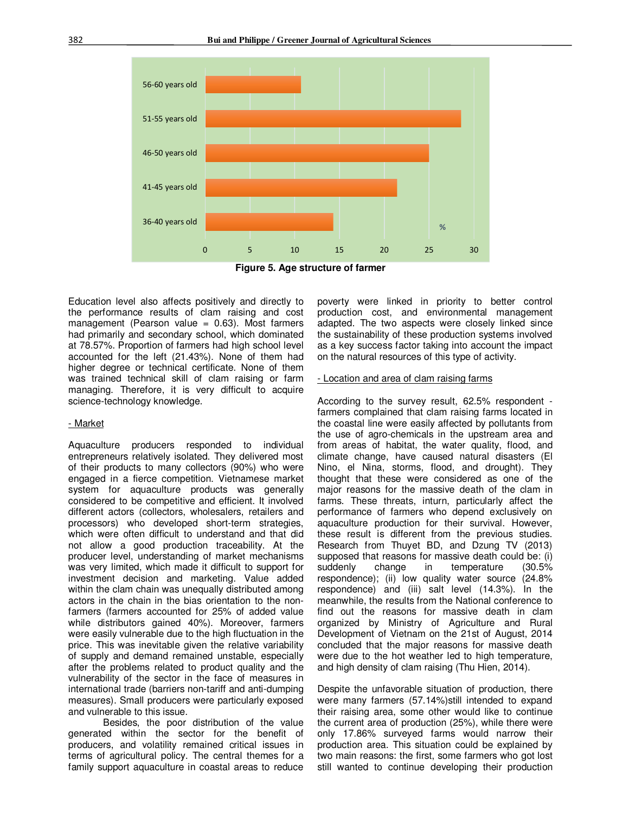

**Figure 5. Age structure of farmer** 

Education level also affects positively and directly to the performance results of clam raising and cost management (Pearson value  $= 0.63$ ). Most farmers had primarily and secondary school, which dominated at 78.57%. Proportion of farmers had high school level accounted for the left (21.43%). None of them had higher degree or technical certificate. None of them was trained technical skill of clam raising or farm managing. Therefore, it is very difficult to acquire science-technology knowledge.

#### - Market

Aquaculture producers responded to individual entrepreneurs relatively isolated. They delivered most of their products to many collectors (90%) who were engaged in a fierce competition. Vietnamese market system for aquaculture products was generally considered to be competitive and efficient. It involved different actors (collectors, wholesalers, retailers and processors) who developed short-term strategies, which were often difficult to understand and that did not allow a good production traceability. At the producer level, understanding of market mechanisms was very limited, which made it difficult to support for investment decision and marketing. Value added within the clam chain was unequally distributed among actors in the chain in the bias orientation to the nonfarmers (farmers accounted for 25% of added value while distributors gained 40%). Moreover, farmers were easily vulnerable due to the high fluctuation in the price. This was inevitable given the relative variability of supply and demand remained unstable, especially after the problems related to product quality and the vulnerability of the sector in the face of measures in international trade (barriers non-tariff and anti-dumping measures). Small producers were particularly exposed and vulnerable to this issue.

Besides, the poor distribution of the value generated within the sector for the benefit of producers, and volatility remained critical issues in terms of agricultural policy. The central themes for a family support aquaculture in coastal areas to reduce poverty were linked in priority to better control production cost, and environmental management adapted. The two aspects were closely linked since the sustainability of these production systems involved as a key success factor taking into account the impact on the natural resources of this type of activity.

#### - Location and area of clam raising farms

According to the survey result, 62.5% respondent farmers complained that clam raising farms located in the coastal line were easily affected by pollutants from the use of agro-chemicals in the upstream area and from areas of habitat, the water quality, flood, and climate change, have caused natural disasters (El Nino, el Nina, storms, flood, and drought). They thought that these were considered as one of the major reasons for the massive death of the clam in farms. These threats, inturn, particularly affect the performance of farmers who depend exclusively on aquaculture production for their survival. However, these result is different from the previous studies. Research from Thuyet BD, and Dzung TV (2013) supposed that reasons for massive death could be: (i) suddenly change in temperature (30.5% respondence); (ii) low quality water source (24.8% respondence) and (iii) salt level (14.3%). In the meanwhile, the results from the National conference to find out the reasons for massive death in clam organized by Ministry of Agriculture and Rural Development of Vietnam on the 21st of August, 2014 concluded that the major reasons for massive death were due to the hot weather led to high temperature, and high density of clam raising (Thu Hien, 2014).

Despite the unfavorable situation of production, there were many farmers (57.14%)still intended to expand their raising area, some other would like to continue the current area of production (25%), while there were only 17.86% surveyed farms would narrow their production area. This situation could be explained by two main reasons: the first, some farmers who got lost still wanted to continue developing their production